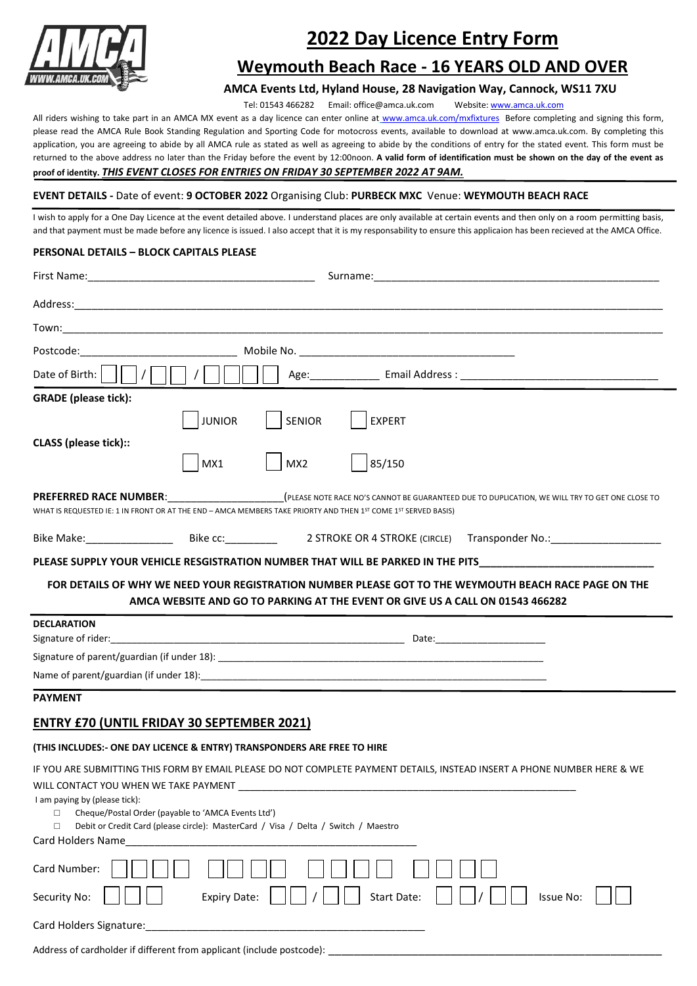

# **2022 Day Licence Entry Form**

# **Weymouth Beach Race - 16 YEARS OLD AND OVER**

# **AMCA Events Ltd, Hyland House, 28 Navigation Way, Cannock, WS11 7XU**

Tel: 01543 466282 Email: office@amca.uk.com Website[: www.amca.uk.com](http://www.amca.uk.com/)

All riders wishing to take part in an AMCA MX event as a day licence can enter online at [www.amca.uk.com/mxfixtures](http://www.amca.uk.com/mxfixtures) Before completing and signing this form, please read the AMCA Rule Book Standing Regulation and Sporting Code for motocross events, available to download at www.amca.uk.com. By completing this application, you are agreeing to abide by all AMCA rule as stated as well as agreeing to abide by the conditions of entry for the stated event. This form must be returned to the above address no later than the Friday before the event by 12:00noon. **A valid form of identification must be shown on the day of the event as proof of identity.** *THIS EVENT CLOSES FOR ENTRIES ON FRIDAY 30 SEPTEMBER 2022 AT 9AM.*

# **EVENT DETAILS -** Date of event: **9 OCTOBER 2022** Organising Club: **PURBECK MXC** Venue: **WEYMOUTH BEACH RACE**

I wish to apply for a One Day Licence at the event detailed above. I understand places are only available at certain events and then only on a room permitting basis. and that payment must be made before any licence is issued. I also accept that it is my responsability to ensure this applicaion has been recieved at the AMCA Office.

# **PERSONAL DETAILS – BLOCK CAPITALS PLEASE**

| Date of Birth:                                                                                                                                              | Age: Email Address : Campus Communication of the Email Address :                                                                                                                                                                                                        |
|-------------------------------------------------------------------------------------------------------------------------------------------------------------|-------------------------------------------------------------------------------------------------------------------------------------------------------------------------------------------------------------------------------------------------------------------------|
| <b>GRADE</b> (please tick):                                                                                                                                 |                                                                                                                                                                                                                                                                         |
| <b>CLASS</b> (please tick)::                                                                                                                                | $\vert$ SENIOR<br><b>JUNIOR</b><br>$ $ EXPERT<br>MX1<br>MX2<br>85/150                                                                                                                                                                                                   |
|                                                                                                                                                             | <b>PREFERRED RACE NUMBER:</b> (PLEASE NOTE RACE NO'S CANNOT BE GUARANTEED DUE TO DUPLICATION, WE WILL TRY TO GET ONE CLOSE TO<br>WHAT IS REQUESTED IE: 1 IN FRONT OR AT THE END – AMCA MEMBERS TAKE PRIORTY AND THEN 1 <sup>ST</sup> COME 1 <sup>ST</sup> SERVED BASIS) |
|                                                                                                                                                             |                                                                                                                                                                                                                                                                         |
|                                                                                                                                                             | FOR DETAILS OF WHY WE NEED YOUR REGISTRATION NUMBER PLEASE GOT TO THE WEYMOUTH BEACH RACE PAGE ON THE<br>AMCA WEBSITE AND GO TO PARKING AT THE EVENT OR GIVE US A CALL ON 01543 466282                                                                                  |
| <b>DECLARATION</b>                                                                                                                                          |                                                                                                                                                                                                                                                                         |
|                                                                                                                                                             |                                                                                                                                                                                                                                                                         |
|                                                                                                                                                             |                                                                                                                                                                                                                                                                         |
| <b>PAYMENT</b>                                                                                                                                              |                                                                                                                                                                                                                                                                         |
| <b>ENTRY £70 (UNTIL FRIDAY 30 SEPTEMBER 2021)</b>                                                                                                           |                                                                                                                                                                                                                                                                         |
|                                                                                                                                                             | (THIS INCLUDES:- ONE DAY LICENCE & ENTRY) TRANSPONDERS ARE FREE TO HIRE                                                                                                                                                                                                 |
| WILL CONTACT YOU WHEN WE TAKE PAYMENT<br>I am paying by (please tick):<br>Cheque/Postal Order (payable to 'AMCA Events Ltd')<br>□<br>□<br>Card Holders Name | IF YOU ARE SUBMITTING THIS FORM BY EMAIL PLEASE DO NOT COMPLETE PAYMENT DETAILS, INSTEAD INSERT A PHONE NUMBER HERE & WE<br>Debit or Credit Card (please circle): MasterCard / Visa / Delta / Switch / Maestro                                                          |
| Card Number:                                                                                                                                                |                                                                                                                                                                                                                                                                         |

Card Holders Signature:

Address of cardholder if different from applicant (include postcode):